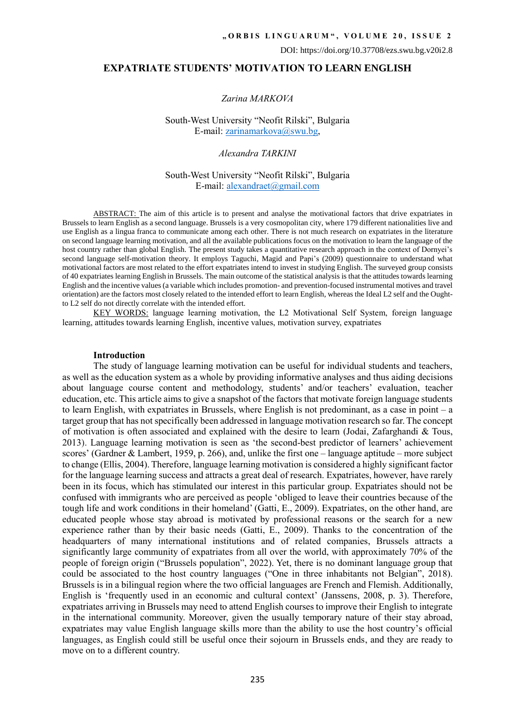## **EXPATRIATE STUDENTS' MOTIVATION TO LEARN ENGLISH**

### *Zarina MARKOVA*

South-West University "Neofit Rilski", Bulgaria E-mail: [zarinamarkova@swu.bg,](mailto:zarinamarkova@swu.bg)

*Alexandra TARKINI*

## South-West University "Neofit Rilski", Bulgaria E-mail[: alexandraet@gmail.com](mailto:alexandraet@gmail.com)

ABSTRACT: The aim of this article is to present and analyse the motivational factors that drive expatriates in Brussels to learn English as a second language. Brussels is a very cosmopolitan city, where 179 different nationalities live and use English as a lingua franca to communicate among each other. There is not much research on expatriates in the literature on second language learning motivation, and all the available publications focus on the motivation to learn the language of the host country rather than global English. The present study takes a quantitative research approach in the context of Dornyei's second language self-motivation theory. It employs Taguchi, Magid and Papi's (2009) questionnaire to understand what motivational factors are most related to the effort expatriates intend to invest in studying English. The surveyed group consists of 40 expatriates learning English in Brussels. The main outcome of the statistical analysis is that the attitudes towards learning English and the incentive values (a variable which includes promotion- and prevention-focused instrumental motives and travel orientation) are the factors most closely related to the intended effort to learn English, whereas the Ideal L2 self and the Oughtto L2 self do not directly correlate with the intended effort.

KEY WORDS: language learning motivation, the L2 Motivational Self System, foreign language learning, attitudes towards learning English, incentive values, motivation survey, expatriates

## **Introduction**

The study of language learning motivation can be useful for individual students and teachers, as well as the education system as a whole by providing informative analyses and thus aiding decisions about language course content and methodology, students' and/or teachers' evaluation, teacher education, etc. This article aims to give a snapshot of the factors that motivate foreign language students to learn English, with expatriates in Brussels, where English is not predominant, as a case in point – a target group that has not specifically been addressed in language motivation research so far. The concept of motivation is often associated and explained with the desire to learn (Jodai, Zafarghandi & Tous, 2013). Language learning motivation is seen as 'the second-best predictor of learners' achievement scores' (Gardner & Lambert, 1959, p. 266), and, unlike the first one – language aptitude – more subject to change (Ellis, 2004). Therefore, language learning motivation is considered a highly significant factor for the language learning success and attracts a great deal of research. Expatriates, however, have rarely been in its focus, which has stimulated our interest in this particular group. Expatriates should not be confused with immigrants who are perceived as people 'obliged to leave their countries because of the tough life and work conditions in their homeland' (Gatti, E., 2009). Expatriates, on the other hand, are educated people whose stay abroad is motivated by professional reasons or the search for a new experience rather than by their basic needs (Gatti, E., 2009). Thanks to the concentration of the headquarters of many international institutions and of related companies, Brussels attracts a significantly large community of expatriates from all over the world, with approximately 70% of the people of foreign origin ("Brussels population", 2022). Yet, there is no dominant language group that could be associated to the host country languages ("One in three inhabitants not Belgian", 2018). Brussels is in a bilingual region where the two official languages are French and Flemish. Additionally, English is 'frequently used in an economic and cultural context' (Janssens, 2008, p. 3). Therefore, expatriates arriving in Brussels may need to attend English courses to improve their English to integrate in the international community. Moreover, given the usually temporary nature of their stay abroad, expatriates may value English language skills more than the ability to use the host country's official languages, as English could still be useful once their sojourn in Brussels ends, and they are ready to move on to a different country.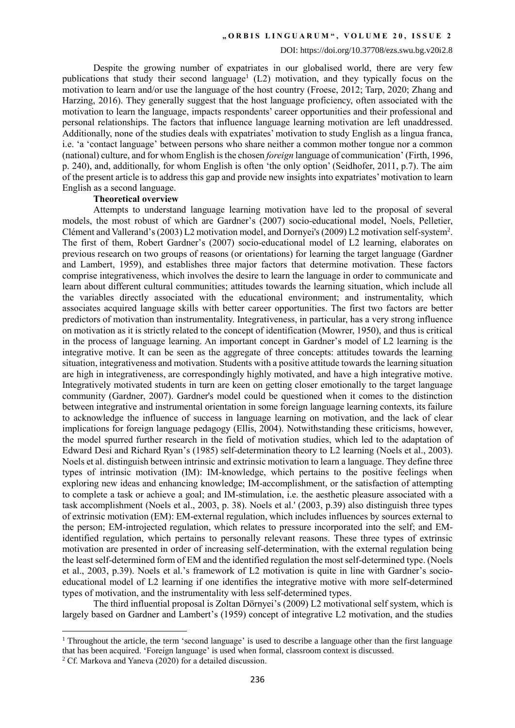Despite the growing number of expatriates in our globalised world, there are very few publications that study their second language<sup>1</sup> (L2) motivation, and they typically focus on the motivation to learn and/or use the language of the host country (Froese, 2012; Tarp, 2020; Zhang and Harzing, 2016). They generally suggest that the host language proficiency, often associated with the motivation to learn the language, impacts respondents' career opportunities and their professional and personal relationships. The factors that influence language learning motivation are left unaddressed. Additionally, none of the studies deals with expatriates' motivation to study English as a lingua franca, i.e. 'a 'contact language' between persons who share neither a common mother tongue nor a common (national) culture, and for whom English is the chosen *foreign* language of communication' (Firth, 1996, p. 240), and, additionally, for whom English is often 'the only option' (Seidhofer, 2011, p.7). The aim of the present article is to address this gap and provide new insights into expatriates' motivation to learn English as a second language.

## **Theoretical overview**

Attempts to understand language learning motivation have led to the proposal of several models, the most robust of which are Gardner's (2007) socio-educational model, Noels, Pelletier, Clément and Vallerand's (2003) L2 motivation model, and Dornyei's (2009) L2 motivation self-system<sup>2</sup>. The first of them, Robert Gardner's (2007) socio-educational model of L2 learning, elaborates on previous research on two groups of reasons (or orientations) for learning the target language (Gardner and Lambert, 1959), and establishes three major factors that determine motivation. These factors comprise integrativeness, which involves the desire to learn the language in order to communicate and learn about different cultural communities; attitudes towards the learning situation, which include all the variables directly associated with the educational environment; and instrumentality, which associates acquired language skills with better career opportunities. The first two factors are better predictors of motivation than instrumentality. Integrativeness, in particular, has a very strong influence on motivation as it is strictly related to the concept of identification (Mowrer, 1950), and thus is critical in the process of language learning. An important concept in Gardner's model of L2 learning is the integrative motive. It can be seen as the aggregate of three concepts: attitudes towards the learning situation, integrativeness and motivation. Students with a positive attitude towards the learning situation are high in integrativeness, are correspondingly highly motivated, and have a high integrative motive. Integratively motivated students in turn are keen on getting closer emotionally to the target language community (Gardner, 2007). Gardner's model could be questioned when it comes to the distinction between integrative and instrumental orientation in some foreign language learning contexts, its failure to acknowledge the influence of success in language learning on motivation, and the lack of clear implications for foreign language pedagogy (Ellis, 2004). Notwithstanding these criticisms, however, the model spurred further research in the field of motivation studies, which led to the adaptation of Edward Desi and Richard Ryan's (1985) self-determination theory to L2 learning (Noels et al., 2003). Noels et al. distinguish between intrinsic and extrinsic motivation to learn a language. They define three types of intrinsic motivation (IM): IM-knowledge, which pertains to the positive feelings when exploring new ideas and enhancing knowledge; IM-accomplishment, or the satisfaction of attempting to complete a task or achieve a goal; and IM-stimulation, i.e. the aesthetic pleasure associated with a task accomplishment (Noels et al., 2003, p. 38). Noels et al.' (2003, p.39) also distinguish three types of extrinsic motivation (EM): EM-external regulation, which includes influences by sources external to the person; EM-introjected regulation, which relates to pressure incorporated into the self; and EMidentified regulation, which pertains to personally relevant reasons. These three types of extrinsic motivation are presented in order of increasing self-determination, with the external regulation being the least self-determined form of EM and the identified regulation the most self-determined type. (Noels et al., 2003, p.39). Noels et al.'s framework of L2 motivation is quite in line with Gardner's socioeducational model of L2 learning if one identifies the integrative motive with more self-determined types of motivation, and the instrumentality with less self-determined types.

The third influential proposal is Zoltan Dörnyei's (2009) L2 motivational self system, which is largely based on Gardner and Lambert's (1959) concept of integrative L2 motivation, and the studies

1

<sup>&</sup>lt;sup>1</sup> Throughout the article, the term 'second language' is used to describe a language other than the first language that has been acquired. 'Foreign language' is used when formal, classroom context is discussed.

 $2^{\circ}$  Cf. Markova and Yaneva (2020) for a detailed discussion.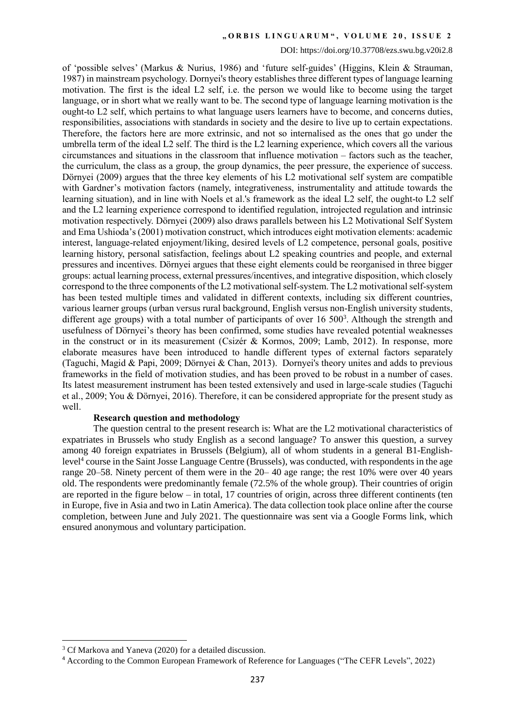#### DOI: https://doi.org/10.37708/ezs.swu.bg.v20i2.8

of 'possible selves' (Markus & Nurius, 1986) and 'future self-guides' (Higgins, Klein & Strauman, 1987) in mainstream psychology. Dornyei's theory establishes three different types of language learning motivation. The first is the ideal L2 self, i.e. the person we would like to become using the target language, or in short what we really want to be. The second type of language learning motivation is the ought-to L2 self, which pertains to what language users learners have to become, and concerns duties, responsibilities, associations with standards in society and the desire to live up to certain expectations. Therefore, the factors here are more extrinsic, and not so internalised as the ones that go under the umbrella term of the ideal L2 self. The third is the L2 learning experience, which covers all the various circumstances and situations in the classroom that influence motivation – factors such as the teacher, the curriculum, the class as a group, the group dynamics, the peer pressure, the experience of success. Dörnyei (2009) argues that the three key elements of his L2 motivational self system are compatible with Gardner's motivation factors (namely, integrativeness, instrumentality and attitude towards the learning situation), and in line with Noels et al.'s framework as the ideal L2 self, the ought-to L2 self and the L2 learning experience correspond to identified regulation, introjected regulation and intrinsic motivation respectively. Dörnyei (2009) also draws parallels between his L2 Motivational Self System and Ema Ushioda's (2001) motivation construct, which introduces eight motivation elements: academic interest, language-related enjoyment/liking, desired levels of L2 competence, personal goals, positive learning history, personal satisfaction, feelings about L2 speaking countries and people, and external pressures and incentives. Dörnyei argues that these eight elements could be reorganised in three bigger groups: actual learning process, external pressures/incentives, and integrative disposition, which closely correspond to the three components of the L2 motivational self-system. The L2 motivational self-system has been tested multiple times and validated in different contexts, including six different countries, various learner groups (urban versus rural background, English versus non-English university students, different age groups) with a total number of participants of over  $16\,500^3$ . Although the strength and usefulness of Dörnyei's theory has been confirmed, some studies have revealed potential weaknesses in the construct or in its measurement (Csizér & Kormos, 2009; Lamb, 2012). In response, more elaborate measures have been introduced to handle different types of external factors separately (Taguchi, Magid & Papi, 2009; Dörnyei & Chan, 2013). Dornyei's theory unites and adds to previous frameworks in the field of motivation studies, and has been proved to be robust in a number of cases. Its latest measurement instrument has been tested extensively and used in large-scale studies (Taguchi et al., 2009; You & Dörnyei, 2016). Therefore, it can be considered appropriate for the present study as well.

### **Research question and methodology**

The question central to the present research is: What are the L2 motivational characteristics of expatriates in Brussels who study English as a second language? To answer this question, a survey among 40 foreign expatriates in Brussels (Belgium), all of whom students in a general B1-Englishlevel<sup>4</sup> course in the Saint Josse Language Centre (Brussels), was conducted, with respondents in the age range 20–58. Ninety percent of them were in the 20– 40 age range; the rest 10% were over 40 years old. The respondents were predominantly female (72.5% of the whole group). Their countries of origin are reported in the figure below – in total, 17 countries of origin, across three different continents (ten in Europe, five in Asia and two in Latin America). The data collection took place online after the course completion, between June and July 2021. The questionnaire was sent via a Google Forms link, which ensured anonymous and voluntary participation.

**.** 

<sup>3</sup> Cf Markova and Yaneva (2020) for a detailed discussion.

<sup>4</sup> According to the Common European Framework of Reference for Languages ("The CEFR Levels", 2022)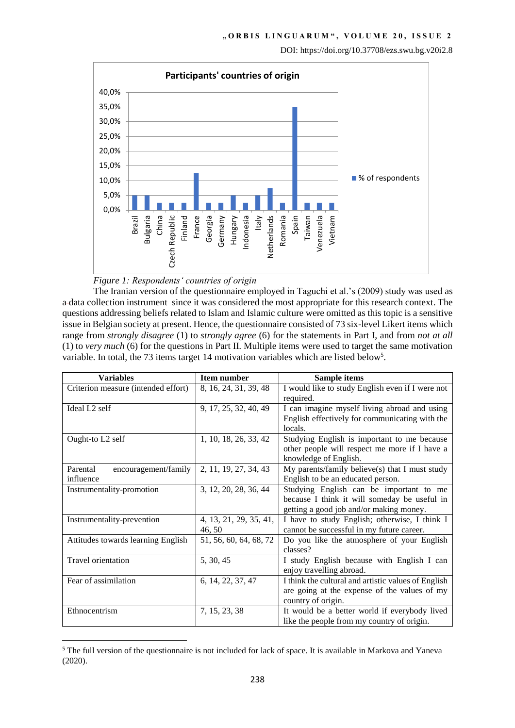

# *Figure 1: Respondents' countries of origin*

**.** 

The Iranian version of the questionnaire employed in Taguchi et al.'s (2009) study was used as a data collection instrument since it was considered the most appropriate for this research context. The questions addressing beliefs related to Islam and Islamic culture were omitted as this topic is a sensitive issue in Belgian society at present. Hence, the questionnaire consisted of 73 six-level Likert items which range from *strongly disagree* (1) to *strongly agree* (6) for the statements in Part I, and from *not at all* (1) to *very much* (6) for the questions in Part II. Multiple items were used to target the same motivation variable. In total, the 73 items target 14 motivation variables which are listed below<sup>5</sup>.

| <b>Variables</b>                    | <b>Item number</b>     | <b>Sample items</b>                                 |
|-------------------------------------|------------------------|-----------------------------------------------------|
| Criterion measure (intended effort) | 8, 16, 24, 31, 39, 48  | I would like to study English even if I were not    |
|                                     |                        | required.                                           |
| Ideal L <sub>2</sub> self           | 9, 17, 25, 32, 40, 49  | I can imagine myself living abroad and using        |
|                                     |                        | English effectively for communicating with the      |
|                                     |                        | locals.                                             |
| Ought-to L2 self                    | 1, 10, 18, 26, 33, 42  | Studying English is important to me because         |
|                                     |                        | other people will respect me more if I have a       |
|                                     |                        | knowledge of English.                               |
| encouragement/family<br>Parental    | 2, 11, 19, 27, 34, 43  | My parents/family believe(s) that I must study      |
| influence                           |                        | English to be an educated person.                   |
| Instrumentality-promotion           | 3, 12, 20, 28, 36, 44  | Studying English can be important to me             |
|                                     |                        | because I think it will someday be useful in        |
|                                     |                        | getting a good job and/or making money.             |
| Instrumentality-prevention          | 4, 13, 21, 29, 35, 41, | I have to study English; otherwise, I think I       |
|                                     | 46, 50                 | cannot be successful in my future career.           |
| Attitudes towards learning English  | 51, 56, 60, 64, 68, 72 | Do you like the atmosphere of your English          |
|                                     |                        | classes?                                            |
| <b>Travel orientation</b>           | 5, 30, 45              | I study English because with English I can          |
|                                     |                        | enjoy travelling abroad.                            |
| Fear of assimilation                | 6, 14, 22, 37, 47      | I think the cultural and artistic values of English |
|                                     |                        | are going at the expense of the values of my        |
|                                     |                        | country of origin.                                  |
| Ethnocentrism                       | 7, 15, 23, 38          | It would be a better world if everybody lived       |
|                                     |                        | like the people from my country of origin.          |

<sup>&</sup>lt;sup>5</sup> The full version of the questionnaire is not included for lack of space. It is available in Markova and Yaneva (2020).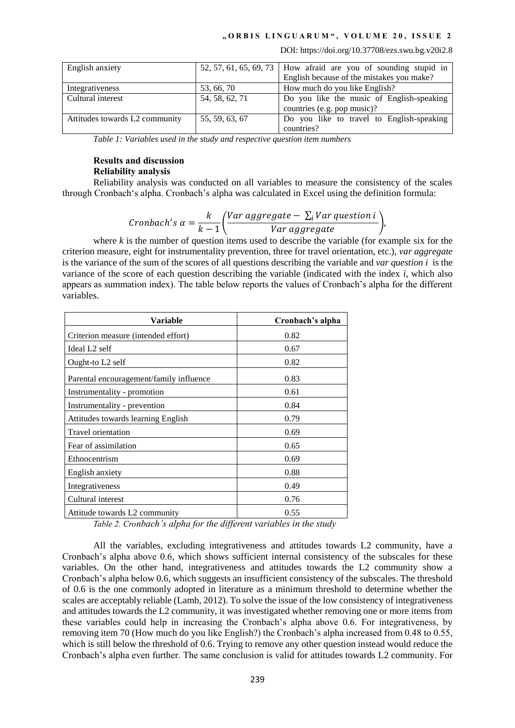DOI: https://doi.org/10.37708/ezs.swu.bg.v20i2.8

| English anxiety                |                | 52, 57, 61, 65, 69, 73   How afraid are you of sounding stupid in |
|--------------------------------|----------------|-------------------------------------------------------------------|
|                                |                | English because of the mistakes you make?                         |
| Integrativeness                | 53, 66, 70     | How much do you like English?                                     |
| Cultural interest              | 54, 58, 62, 71 | Do you like the music of English-speaking                         |
|                                |                | countries (e.g. pop music)?                                       |
| Attitudes towards L2 community | 55, 59, 63, 67 | Do you like to travel to English-speaking                         |
|                                |                | countries?                                                        |

*Table 1: Variables used in the study and respective question item numbers*

# **Results and discussion Reliability analysis**

Reliability analysis was conducted on all variables to measure the consistency of the scales through Cronbach's alpha. Cronbach's alpha was calculated in Excel using the definition formula:

$$
Cronbach's \alpha = \frac{k}{k-1} \bigg( \frac{Var \, aggregate - \sum_{i} Var \, question \, i}{Var \, aggregate} \bigg),
$$

where *k* is the number of question items used to describe the variable (for example six for the criterion measure, eight for instrumentality prevention, three for travel orientation, etc.), *var aggregate* is the variance of the sum of the scores of all questions describing the variable and *var question i* is the variance of the score of each question describing the variable (indicated with the index *i*, which also appears as summation index). The table below reports the values of Cronbach's alpha for the different variables.

| Variable                                | Cronbach's alpha |
|-----------------------------------------|------------------|
| Criterion measure (intended effort)     | 0.82             |
| Ideal L <sub>2</sub> self               | 0.67             |
| Ought-to L2 self                        | 0.82             |
| Parental encouragement/family influence | 0.83             |
| Instrumentality - promotion             | 0.61             |
| Instrumentality - prevention            | 0.84             |
| Attitudes towards learning English      | 0.79             |
| <b>Travel orientation</b>               | 0.69             |
| Fear of assimilation                    | 0.65             |
| Ethnocentrism                           | 0.69             |
| English anxiety                         | 0.88             |
| Integrativeness                         | 0.49             |
| Cultural interest                       | 0.76             |
| Attitude towards L2 community<br>.      | 0.55<br>- -      |

*Table 2. Cronbach's alpha for the different variables in the study*

All the variables, excluding integrativeness and attitudes towards L2 community, have a Cronbach's alpha above 0.6, which shows sufficient internal consistency of the subscales for these variables. On the other hand, integrativeness and attitudes towards the L2 community show a Cronbach's alpha below 0.6, which suggests an insufficient consistency of the subscales. The threshold of 0.6 is the one commonly adopted in literature as a minimum threshold to determine whether the scales are acceptably reliable (Lamb, 2012). To solve the issue of the low consistency of integrativeness and attitudes towards the L2 community, it was investigated whether removing one or more items from these variables could help in increasing the Cronbach's alpha above 0.6. For integrativeness, by removing item 70 (How much do you like English?) the Cronbach's alpha increased from 0.48 to 0.55, which is still below the threshold of 0.6. Trying to remove any other question instead would reduce the Cronbach's alpha even further. The same conclusion is valid for attitudes towards L2 community. For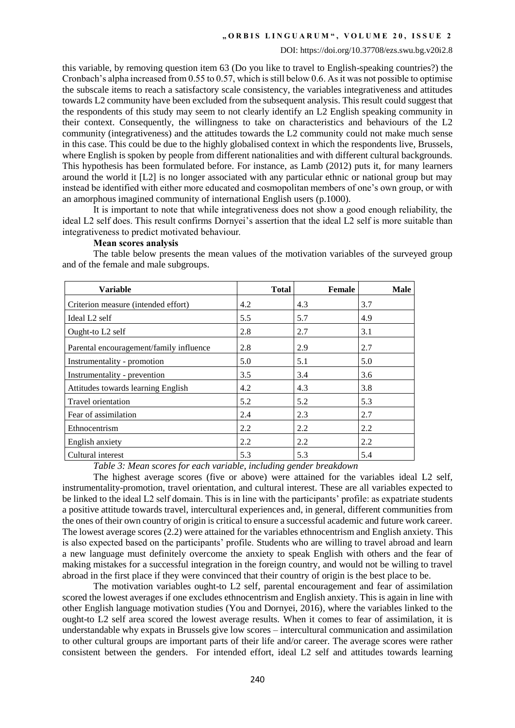this variable, by removing question item 63 (Do you like to travel to English-speaking countries?) the Cronbach's alpha increased from 0.55 to 0.57, which is still below 0.6. As it was not possible to optimise the subscale items to reach a satisfactory scale consistency, the variables integrativeness and attitudes towards L2 community have been excluded from the subsequent analysis. This result could suggest that the respondents of this study may seem to not clearly identify an L2 English speaking community in their context. Consequently, the willingness to take on characteristics and behaviours of the L2 community (integrativeness) and the attitudes towards the L2 community could not make much sense in this case. This could be due to the highly globalised context in which the respondents live, Brussels, where English is spoken by people from different nationalities and with different cultural backgrounds. This hypothesis has been formulated before. For instance, as Lamb (2012) puts it, for many learners around the world it [L2] is no longer associated with any particular ethnic or national group but may instead be identified with either more educated and cosmopolitan members of one's own group, or with an amorphous imagined community of international English users (p.1000).

It is important to note that while integrativeness does not show a good enough reliability, the ideal L2 self does. This result confirms Dornyei's assertion that the ideal L2 self is more suitable than integrativeness to predict motivated behaviour.

### **Mean scores analysis**

The table below presents the mean values of the motivation variables of the surveyed group and of the female and male subgroups.

| Variable                                | <b>Total</b> | Female | <b>Male</b> |
|-----------------------------------------|--------------|--------|-------------|
| Criterion measure (intended effort)     | 4.2          | 4.3    | 3.7         |
| Ideal L <sub>2</sub> self               | 5.5          | 5.7    | 4.9         |
| Ought-to L2 self                        | 2.8          | 2.7    | 3.1         |
| Parental encouragement/family influence | 2.8          | 2.9    | 2.7         |
| Instrumentality - promotion             | 5.0          | 5.1    | 5.0         |
| Instrumentality - prevention            | 3.5          | 3.4    | 3.6         |
| Attitudes towards learning English      | 4.2          | 4.3    | 3.8         |
| <b>Travel orientation</b>               | 5.2          | 5.2    | 5.3         |
| Fear of assimilation                    | 2.4          | 2.3    | 2.7         |
| Ethnocentrism                           | 2.2          | 2.2    | 2.2         |
| English anxiety                         | 2.2          | 2.2    | 2.2         |
| Cultural interest                       | 5.3          | 5.3    | 5.4         |

*Table 3: Mean scores for each variable, including gender breakdown*

The highest average scores (five or above) were attained for the variables ideal L2 self, instrumentality-promotion, travel orientation, and cultural interest. These are all variables expected to be linked to the ideal L2 self domain. This is in line with the participants' profile: as expatriate students a positive attitude towards travel, intercultural experiences and, in general, different communities from the ones of their own country of origin is critical to ensure a successful academic and future work career. The lowest average scores (2.2) were attained for the variables ethnocentrism and English anxiety*.* This is also expected based on the participants' profile. Students who are willing to travel abroad and learn a new language must definitely overcome the anxiety to speak English with others and the fear of making mistakes for a successful integration in the foreign country, and would not be willing to travel abroad in the first place if they were convinced that their country of origin is the best place to be.

The motivation variables ought-to L2 self, parental encouragement and fear of assimilation scored the lowest averages if one excludes ethnocentrism and English anxiety. This is again in line with other English language motivation studies (You and Dornyei, 2016), where the variables linked to the ought-to L2 self area scored the lowest average results. When it comes to fear of assimilation, it is understandable why expats in Brussels give low scores – intercultural communication and assimilation to other cultural groups are important parts of their life and/or career. The average scores were rather consistent between the genders. For intended effort, ideal L2 self and attitudes towards learning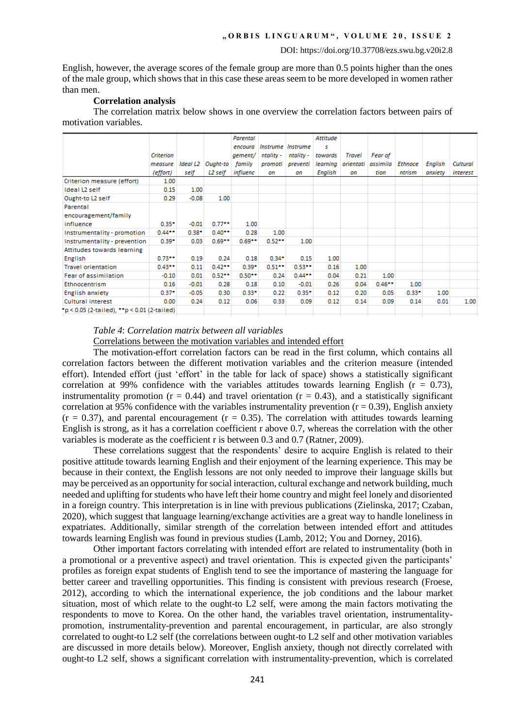English*,* however, the average scores of the female group are more than 0.5 points higher than the ones of the male group, which shows that in this case these areas seem to be more developed in women rather than men.

## **Correlation analysis**

The correlation matrix below shows in one overview the correlation factors between pairs of motivation variables.

|                                             |           |          |                 | Parental |                 |                 | Attitude |           |                |                |                |          |
|---------------------------------------------|-----------|----------|-----------------|----------|-----------------|-----------------|----------|-----------|----------------|----------------|----------------|----------|
|                                             |           |          |                 | encoura  | <i>Instrume</i> | <b>Instrume</b> | s        |           |                |                |                |          |
|                                             | Criterion |          |                 | gement/  | ntality -       | ntality -       | towards  | Travel    | <b>Fear of</b> |                |                |          |
|                                             | measure   | Ideal L2 | <b>Ought-to</b> | family   | promoti         | preventi        | learning | orientati | assimila       | <b>Ethnoce</b> | <b>English</b> | Cultural |
|                                             | (effort)  | self     | L2 self         | influenc | on              | on              | English  | on        | tion           | ntrism         | anxiety        | interest |
| Criterion measure (effort)                  | 1.00      |          |                 |          |                 |                 |          |           |                |                |                |          |
| Ideal L2 self                               | 0.15      | 1.00     |                 |          |                 |                 |          |           |                |                |                |          |
| Ought-to L2 self                            | 0.29      | $-0.08$  | 1.00            |          |                 |                 |          |           |                |                |                |          |
| Parental                                    |           |          |                 |          |                 |                 |          |           |                |                |                |          |
| encouragement/family                        |           |          |                 |          |                 |                 |          |           |                |                |                |          |
| influence                                   | $0.35*$   | $-0.01$  | 0.77            | 1.00     |                 |                 |          |           |                |                |                |          |
| Instrumentality - promotion                 | $0.44**$  | $0.38*$  | $0.40**$        | 0.28     | 1.00            |                 |          |           |                |                |                |          |
| Instrumentality - prevention                | $0.39*$   | 0.03     | $0.69**$        | $0.69**$ | $0.52**$        | 1.00            |          |           |                |                |                |          |
| Attitudes towards learning                  |           |          |                 |          |                 |                 |          |           |                |                |                |          |
| English                                     | $0.73**$  | 0.19     | 0.24            | 0.18     | $0.34*$         | 0.15            | 1.00     |           |                |                |                |          |
| <b>Travel orientation</b>                   | $0.43**$  | 0.11     | $0.42**$        | $0.39*$  | $0.51***$       | $0.53**$        | 0.16     | 1.00      |                |                |                |          |
| Fear of assimilation                        | $-0.10$   | 0.01     | $0.52**$        | $0.50**$ | 0.24            | $0.44**$        | 0.04     | 0.21      | 1.00           |                |                |          |
| Ethnocentrism                               | 0.16      | $-0.01$  | 0.28            | 0.18     | 0.10            | $-0.01$         | 0.26     | 0.04      | $0.46**$       | 1.00           |                |          |
| English anxiety                             | $0.37*$   | $-0.05$  | 0.30            | $0.33*$  | 0.22            | $0.35*$         | 0.12     | 0.20      | 0.05           | $0.33*$        | 1.00           |          |
| Cultural interest                           | 0.00      | 0.24     | 0.12            | 0.06     | 0.33            | 0.09            | 0.12     | 0.14      | 0.09           | 0.14           | 0.01           | 1.00     |
| *p < 0.05 (2-tailed), **p < 0.01 (2-tailed) |           |          |                 |          |                 |                 |          |           |                |                |                |          |
|                                             |           |          |                 |          |                 |                 |          |           |                |                |                |          |

### *Table 4*: *Correlation matrix between all variables* Correlations between the motivation variables and intended effort

The motivation-effort correlation factors can be read in the first column, which contains all correlation factors between the different motivation variables and the criterion measure (intended effort). Intended effort (just 'effort' in the table for lack of space) shows a statistically significant correlation at 99% confidence with the variables attitudes towards learning English ( $r = 0.73$ ), instrumentality promotion ( $r = 0.44$ ) and travel orientation ( $r = 0.43$ ), and a statistically significant correlation at 95% confidence with the variables instrumentality prevention ( $r = 0.39$ ), English anxiety  $(r = 0.37)$ , and parental encouragement  $(r = 0.35)$ . The correlation with attitudes towards learning English is strong, as it has a correlation coefficient r above 0.7, whereas the correlation with the other variables is moderate as the coefficient r is between 0.3 and 0.7 (Ratner, 2009).

These correlations suggest that the respondents' desire to acquire English is related to their positive attitude towards learning English and their enjoyment of the learning experience. This may be because in their context, the English lessons are not only needed to improve their language skills but may be perceived as an opportunity for social interaction, cultural exchange and network building, much needed and uplifting for students who have left their home country and might feel lonely and disoriented in a foreign country. This interpretation is in line with previous publications (Zielinska, 2017; Czaban, 2020), which suggest that language learning/exchange activities are a great way to handle loneliness in expatriates. Additionally, similar strength of the correlation between intended effort and attitudes towards learning English was found in previous studies (Lamb, 2012; You and Dorney, 2016).

Other important factors correlating with intended effort are related to instrumentality (both in a promotional or a preventive aspect) and travel orientation. This is expected given the participants' profiles as foreign expat students of English tend to see the importance of mastering the language for better career and travelling opportunities. This finding is consistent with previous research (Froese, 2012), according to which the international experience, the job conditions and the labour market situation, most of which relate to the ought-to L2 self, were among the main factors motivating the respondents to move to Korea. On the other hand, the variables travel orientation, instrumentalitypromotion, instrumentality-prevention and parental encouragement*,* in particular, are also strongly correlated to ought-to L2 self (the correlations between ought-to L2 self and other motivation variables are discussed in more details below). Moreover, English anxiety, though not directly correlated with ought-to L2 self, shows a significant correlation with instrumentality-prevention, which is correlated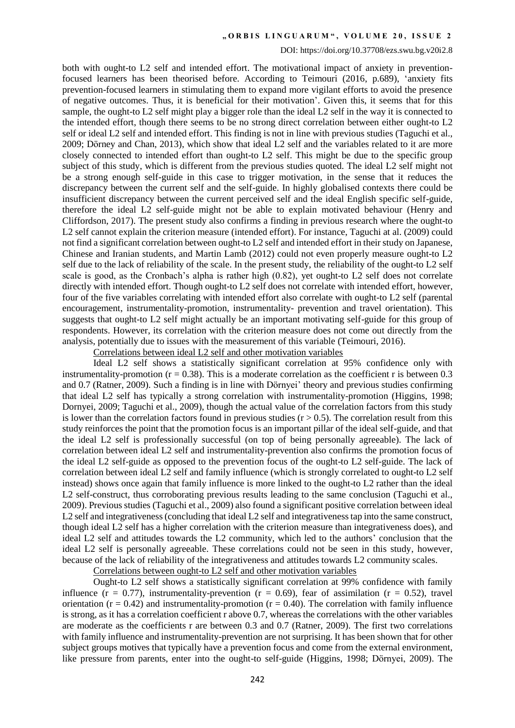#### DOI: https://doi.org/10.37708/ezs.swu.bg.v20i2.8

both with ought-to L2 self and intended effort. The motivational impact of anxiety in preventionfocused learners has been theorised before. According to Teimouri (2016, p.689), 'anxiety fits prevention-focused learners in stimulating them to expand more vigilant efforts to avoid the presence of negative outcomes. Thus, it is beneficial for their motivation'. Given this, it seems that for this sample, the ought-to L2 self might play a bigger role than the ideal L2 self in the way it is connected to the intended effort, though there seems to be no strong direct correlation between either ought-to L2 self or ideal L2 self and intended effort. This finding is not in line with previous studies (Taguchi et al., 2009; Dörney and Chan, 2013), which show that ideal L2 self and the variables related to it are more closely connected to intended effort than ought-to L2 self. This might be due to the specific group subject of this study, which is different from the previous studies quoted. The ideal L2 self might not be a strong enough self-guide in this case to trigger motivation, in the sense that it reduces the discrepancy between the current self and the self-guide. In highly globalised contexts there could be insufficient discrepancy between the current perceived self and the ideal English specific self-guide, therefore the ideal L2 self-guide might not be able to explain motivated behaviour (Henry and Cliffordson, 2017). The present study also confirms a finding in previous research where the ought-to L2 self cannot explain the criterion measure (intended effort). For instance, Taguchi at al. (2009) could not find a significant correlation between ought-to L2 self and intended effort in their study on Japanese, Chinese and Iranian students, and Martin Lamb (2012) could not even properly measure ought-to L2 self due to the lack of reliability of the scale. In the present study, the reliability of the ought-to L2 self scale is good, as the Cronbach's alpha is rather high (0.82), yet ought-to L2 self does not correlate directly with intended effort. Though ought-to L2 self does not correlate with intended effort, however, four of the five variables correlating with intended effort also correlate with ought-to L2 self (parental encouragement, instrumentality-promotion, instrumentality- prevention and travel orientation). This suggests that ought-to L2 self might actually be an important motivating self-guide for this group of respondents. However, its correlation with the criterion measure does not come out directly from the analysis, potentially due to issues with the measurement of this variable (Teimouri, 2016).

Correlations between ideal L2 self and other motivation variables

Ideal L2 self shows a statistically significant correlation at 95% confidence only with instrumentality-promotion ( $r = 0.38$ ). This is a moderate correlation as the coefficient r is between 0.3 and 0.7 (Ratner, 2009). Such a finding is in line with Dörnyei' theory and previous studies confirming that ideal L2 self has typically a strong correlation with instrumentality-promotion (Higgins, 1998; Dornyei, 2009; Taguchi et al., 2009), though the actual value of the correlation factors from this study is lower than the correlation factors found in previous studies  $(r > 0.5)$ . The correlation result from this study reinforces the point that the promotion focus is an important pillar of the ideal self-guide, and that the ideal L2 self is professionally successful (on top of being personally agreeable). The lack of correlation between ideal L2 self and instrumentality-prevention also confirms the promotion focus of the ideal L2 self-guide as opposed to the prevention focus of the ought-to L2 self-guide. The lack of correlation between ideal L2 self and family influence (which is strongly correlated to ought-to L2 self instead) shows once again that family influence is more linked to the ought-to L2 rather than the ideal L2 self-construct, thus corroborating previous results leading to the same conclusion (Taguchi et al., 2009). Previous studies (Taguchi et al., 2009) also found a significant positive correlation between ideal L2 self and integrativeness (concluding that ideal L2 self and integrativeness tap into the same construct, though ideal L2 self has a higher correlation with the criterion measure than integrativeness does), and ideal L2 self and attitudes towards the L2 community, which led to the authors' conclusion that the ideal L2 self is personally agreeable. These correlations could not be seen in this study, however, because of the lack of reliability of the integrativeness and attitudes towards L2 community scales.

Correlations between ought-to L2 self and other motivation variables

Ought-to L2 self shows a statistically significant correlation at 99% confidence with family influence ( $r = 0.77$ ), instrumentality-prevention ( $r = 0.69$ ), fear of assimilation ( $r = 0.52$ ), travel orientation ( $r = 0.42$ ) and instrumentality-promotion ( $r = 0.40$ ). The correlation with family influence is strong, as it has a correlation coefficient r above 0.7, whereas the correlations with the other variables are moderate as the coefficients r are between 0.3 and 0.7 (Ratner, 2009). The first two correlations with family influence and instrumentality-prevention are not surprising. It has been shown that for other subject groups motives that typically have a prevention focus and come from the external environment, like pressure from parents, enter into the ought-to self-guide (Higgins, 1998; Dörnyei, 2009). The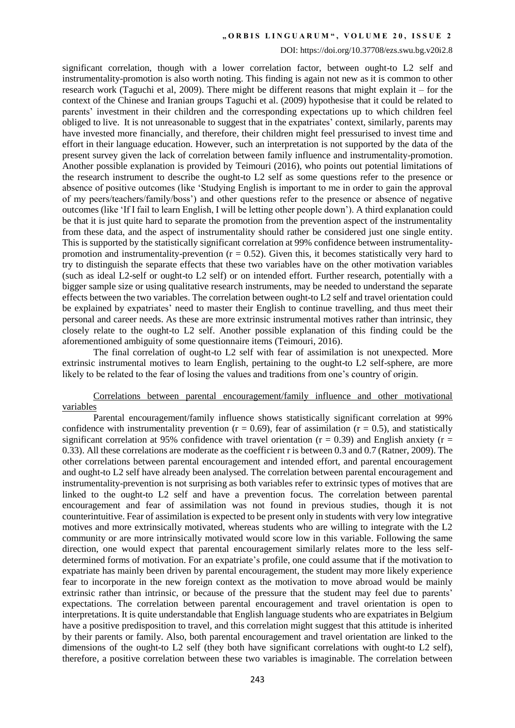#### DOI: https://doi.org/10.37708/ezs.swu.bg.v20i2.8

significant correlation, though with a lower correlation factor, between ought-to L2 self and instrumentality-promotion is also worth noting. This finding is again not new as it is common to other research work (Taguchi et al, 2009). There might be different reasons that might explain it – for the context of the Chinese and Iranian groups Taguchi et al. (2009) hypothesise that it could be related to parents' investment in their children and the corresponding expectations up to which children feel obliged to live. It is not unreasonable to suggest that in the expatriates' context, similarly, parents may have invested more financially, and therefore, their children might feel pressurised to invest time and effort in their language education. However, such an interpretation is not supported by the data of the present survey given the lack of correlation between family influence and instrumentality-promotion. Another possible explanation is provided by Teimouri (2016), who points out potential limitations of the research instrument to describe the ought-to L2 self as some questions refer to the presence or absence of positive outcomes (like 'Studying English is important to me in order to gain the approval of my peers/teachers/family/boss') and other questions refer to the presence or absence of negative outcomes (like 'If I fail to learn English, I will be letting other people down'). A third explanation could be that it is just quite hard to separate the promotion from the prevention aspect of the instrumentality from these data, and the aspect of instrumentality should rather be considered just one single entity. This is supported by the statistically significant correlation at 99% confidence between instrumentalitypromotion and instrumentality-prevention ( $r = 0.52$ ). Given this, it becomes statistically very hard to try to distinguish the separate effects that these two variables have on the other motivation variables (such as ideal L2-self or ought-to L2 self) or on intended effort*.* Further research, potentially with a bigger sample size or using qualitative research instruments, may be needed to understand the separate effects between the two variables. The correlation between ought-to L2 self and travel orientation could be explained by expatriates' need to master their English to continue travelling, and thus meet their personal and career needs. As these are more extrinsic instrumental motives rather than intrinsic, they closely relate to the ought-to L2 self. Another possible explanation of this finding could be the aforementioned ambiguity of some questionnaire items (Teimouri, 2016).

The final correlation of ought-to L2 self with fear of assimilation is not unexpected. More extrinsic instrumental motives to learn English, pertaining to the ought-to L2 self-sphere, are more likely to be related to the fear of losing the values and traditions from one's country of origin.

## Correlations between parental encouragement/family influence and other motivational variables

Parental encouragement/family influence shows statistically significant correlation at 99% confidence with instrumentality prevention ( $r = 0.69$ ), fear of assimilation ( $r = 0.5$ ), and statistically significant correlation at 95% confidence with travel orientation ( $r = 0.39$ ) and English anxiety ( $r =$ 0.33). All these correlations are moderate as the coefficient r is between 0.3 and 0.7 (Ratner, 2009). The other correlations between parental encouragement and intended effort, and parental encouragement and ought-to L2 self have already been analysed. The correlation between parental encouragement and instrumentality-prevention is not surprising as both variables refer to extrinsic types of motives that are linked to the ought-to L2 self and have a prevention focus. The correlation between parental encouragement and fear of assimilation was not found in previous studies, though it is not counterintuitive. Fear of assimilation is expected to be present only in students with very low integrative motives and more extrinsically motivated, whereas students who are willing to integrate with the L2 community or are more intrinsically motivated would score low in this variable. Following the same direction, one would expect that parental encouragement similarly relates more to the less selfdetermined forms of motivation. For an expatriate's profile, one could assume that if the motivation to expatriate has mainly been driven by parental encouragement, the student may more likely experience fear to incorporate in the new foreign context as the motivation to move abroad would be mainly extrinsic rather than intrinsic, or because of the pressure that the student may feel due to parents' expectations. The correlation between parental encouragement and travel orientation is open to interpretations. It is quite understandable that English language students who are expatriates in Belgium have a positive predisposition to travel, and this correlation might suggest that this attitude is inherited by their parents or family. Also, both parental encouragement and travel orientation are linked to the dimensions of the ought-to L2 self (they both have significant correlations with ought-to L2 self), therefore, a positive correlation between these two variables is imaginable. The correlation between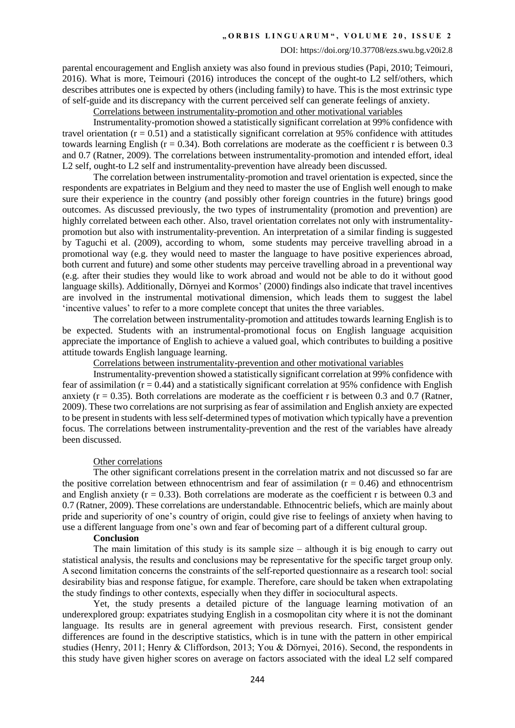#### DOI: https://doi.org/10.37708/ezs.swu.bg.v20i2.8

parental encouragement and English anxiety was also found in previous studies (Papi, 2010; Teimouri, 2016). What is more, Teimouri (2016) introduces the concept of the ought-to L2 self/others, which describes attributes one is expected by others (including family) to have. This is the most extrinsic type of self-guide and its discrepancy with the current perceived self can generate feelings of anxiety.

Correlations between instrumentality-promotion and other motivational variables

Instrumentality-promotion showed a statistically significant correlation at 99% confidence with travel orientation  $(r = 0.51)$  and a statistically significant correlation at 95% confidence with attitudes towards learning English ( $r = 0.34$ ). Both correlations are moderate as the coefficient r is between 0.3 and 0.7 (Ratner, 2009). The correlations between instrumentality-promotion and intended effort, ideal L2 self, ought-to L2 self and instrumentality-prevention have already been discussed.

The correlation between instrumentality-promotion and travel orientation is expected, since the respondents are expatriates in Belgium and they need to master the use of English well enough to make sure their experience in the country (and possibly other foreign countries in the future) brings good outcomes. As discussed previously, the two types of instrumentality (promotion and prevention) are highly correlated between each other. Also, travel orientation correlates not only with instrumentalitypromotion but also with instrumentality-prevention. An interpretation of a similar finding is suggested by Taguchi et al. (2009), according to whom, some students may perceive travelling abroad in a promotional way (e.g. they would need to master the language to have positive experiences abroad, both current and future) and some other students may perceive travelling abroad in a preventional way (e.g. after their studies they would like to work abroad and would not be able to do it without good language skills). Additionally, Dörnyei and Kormos' (2000) findings also indicate that travel incentives are involved in the instrumental motivational dimension, which leads them to suggest the label 'incentive values' to refer to a more complete concept that unites the three variables.

The correlation between instrumentality-promotion and attitudes towards learning English is to be expected. Students with an instrumental-promotional focus on English language acquisition appreciate the importance of English to achieve a valued goal, which contributes to building a positive attitude towards English language learning.

Correlations between instrumentality-prevention and other motivational variables

Instrumentality-prevention showed a statistically significant correlation at 99% confidence with fear of assimilation  $(r = 0.44)$  and a statistically significant correlation at 95% confidence with English anxiety ( $r = 0.35$ ). Both correlations are moderate as the coefficient r is between 0.3 and 0.7 (Ratner, 2009). These two correlations are not surprising as fear of assimilation and English anxiety are expected to be present in students with less self-determined types of motivation which typically have a prevention focus. The correlations between instrumentality-prevention and the rest of the variables have already been discussed.

#### Other correlations

The other significant correlations present in the correlation matrix and not discussed so far are the positive correlation between ethnocentrism and fear of assimilation  $(r = 0.46)$  and ethnocentrism and English anxiety ( $r = 0.33$ ). Both correlations are moderate as the coefficient r is between 0.3 and 0.7 (Ratner, 2009). These correlations are understandable. Ethnocentric beliefs, which are mainly about pride and superiority of one's country of origin, could give rise to feelings of anxiety when having to use a different language from one's own and fear of becoming part of a different cultural group.

#### **Conclusion**

The main limitation of this study is its sample size – although it is big enough to carry out statistical analysis, the results and conclusions may be representative for the specific target group only. A second limitation concerns the constraints of the self-reported questionnaire as a research tool: social desirability bias and response fatigue, for example. Therefore, care should be taken when extrapolating the study findings to other contexts, especially when they differ in sociocultural aspects.

Yet, the study presents a detailed picture of the language learning motivation of an underexplored group: expatriates studying English in a cosmopolitan city where it is not the dominant language. Its results are in general agreement with previous research. First, consistent gender differences are found in the descriptive statistics, which is in tune with the pattern in other empirical studies (Henry, 2011; Henry & Cliffordson, 2013; You & Dörnyei, 2016). Second, the respondents in this study have given higher scores on average on factors associated with the ideal L2 self compared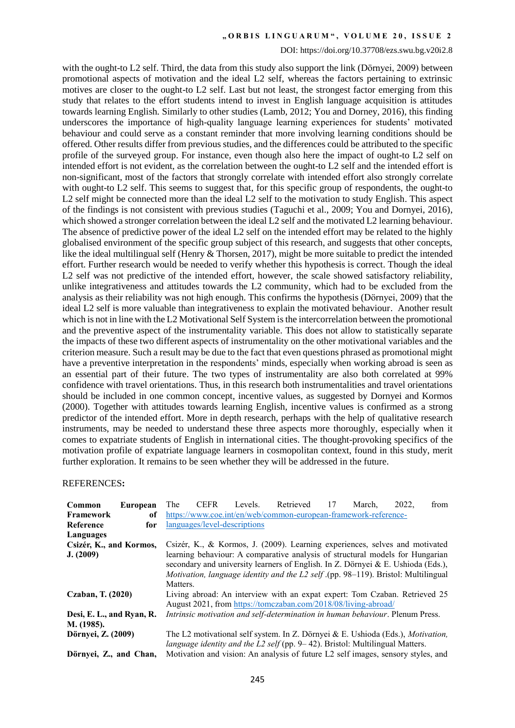#### DOI: https://doi.org/10.37708/ezs.swu.bg.v20i2.8

with the ought-to L2 self. Third, the data from this study also support the link (Dörnyei, 2009) between promotional aspects of motivation and the ideal L2 self, whereas the factors pertaining to extrinsic motives are closer to the ought-to L2 self. Last but not least, the strongest factor emerging from this study that relates to the effort students intend to invest in English language acquisition is attitudes towards learning English*.* Similarly to other studies (Lamb, 2012; You and Dorney, 2016), this finding underscores the importance of high-quality language learning experiences for students' motivated behaviour and could serve as a constant reminder that more involving learning conditions should be offered. Other results differ from previous studies, and the differences could be attributed to the specific profile of the surveyed group. For instance, even though also here the impact of ought-to L2 self on intended effort is not evident, as the correlation between the ought-to L2 self and the intended effort is non-significant, most of the factors that strongly correlate with intended effort also strongly correlate with ought-to L2 self. This seems to suggest that, for this specific group of respondents, the ought-to L2 self might be connected more than the ideal L2 self to the motivation to study English. This aspect of the findings is not consistent with previous studies (Taguchi et al., 2009; You and Dornyei, 2016), which showed a stronger correlation between the ideal L2 self and the motivated L2 learning behaviour. The absence of predictive power of the ideal L2 self on the intended effort may be related to the highly globalised environment of the specific group subject of this research, and suggests that other concepts, like the ideal multilingual self (Henry & Thorsen, 2017), might be more suitable to predict the intended effort. Further research would be needed to verify whether this hypothesis is correct. Though the ideal L2 self was not predictive of the intended effort, however, the scale showed satisfactory reliability, unlike integrativeness and attitudes towards the L2 community, which had to be excluded from the analysis as their reliability was not high enough. This confirms the hypothesis (Dörnyei, 2009) that the ideal L2 self is more valuable than integrativeness to explain the motivated behaviour. Another result which is not in line with the L2 Motivational Self System is the intercorrelation between the promotional and the preventive aspect of the instrumentality variable. This does not allow to statistically separate the impacts of these two different aspects of instrumentality on the other motivational variables and the criterion measure. Such a result may be due to the fact that even questions phrased as promotional might have a preventive interpretation in the respondents' minds, especially when working abroad is seen as an essential part of their future. The two types of instrumentality are also both correlated at 99% confidence with travel orientations. Thus, in this research both instrumentalities and travel orientations should be included in one common concept, incentive values, as suggested by Dornyei and Kormos (2000). Together with attitudes towards learning English, incentive values is confirmed as a strong predictor of the intended effort. More in depth research, perhaps with the help of qualitative research instruments, may be needed to understand these three aspects more thoroughly, especially when it comes to expatriate students of English in international cities. The thought-provoking specifics of the motivation profile of expatriate language learners in cosmopolitan context, found in this study, merit further exploration. It remains to be seen whether they will be addressed in the future.

#### REFERENCES**:**

| Common                    | European | The                                                                                         | <b>CEFR</b>                                                     | Levels. | Retrieved                                                                        | 17 | March. | 2022. | from |
|---------------------------|----------|---------------------------------------------------------------------------------------------|-----------------------------------------------------------------|---------|----------------------------------------------------------------------------------|----|--------|-------|------|
| Framework                 | of       |                                                                                             | https://www.coe.int/en/web/common-european-framework-reference- |         |                                                                                  |    |        |       |      |
| Reference                 | for      |                                                                                             | languages/level-descriptions                                    |         |                                                                                  |    |        |       |      |
| Languages                 |          |                                                                                             |                                                                 |         |                                                                                  |    |        |       |      |
| Csizér, K., and Kormos,   |          |                                                                                             |                                                                 |         | Csizér, K., & Kormos, J. (2009). Learning experiences, selves and motivated      |    |        |       |      |
| J. (2009)                 |          |                                                                                             |                                                                 |         | learning behaviour: A comparative analysis of structural models for Hungarian    |    |        |       |      |
|                           |          | secondary and university learners of English. In Z. Dörnyei & E. Ushioda (Eds.),            |                                                                 |         |                                                                                  |    |        |       |      |
|                           |          | <i>Motivation, language identity and the L2 self</i> (pp. $98-119$ ). Bristol: Multilingual |                                                                 |         |                                                                                  |    |        |       |      |
|                           |          | Matters.                                                                                    |                                                                 |         |                                                                                  |    |        |       |      |
| Czaban, T. (2020)         |          |                                                                                             |                                                                 |         | Living abroad: An interview with an expat expert: Tom Czaban. Retrieved 25       |    |        |       |      |
|                           |          |                                                                                             |                                                                 |         | August 2021, from https://tomczaban.com/2018/08/living-abroad/                   |    |        |       |      |
| Desi, E. L., and Ryan, R. |          |                                                                                             |                                                                 |         | Intrinsic motivation and self-determination in human behaviour. Plenum Press.    |    |        |       |      |
| M. (1985).                |          |                                                                                             |                                                                 |         |                                                                                  |    |        |       |      |
| Dörnyei, Z. (2009)        |          |                                                                                             |                                                                 |         | The L2 motivational self system. In Z. Dörnyei & E. Ushioda (Eds.), Motivation,  |    |        |       |      |
|                           |          |                                                                                             |                                                                 |         | language identity and the $L2$ self (pp. 9–42). Bristol: Multilingual Matters.   |    |        |       |      |
| Dörnyei, Z., and Chan,    |          |                                                                                             |                                                                 |         | Motivation and vision: An analysis of future L2 self images, sensory styles, and |    |        |       |      |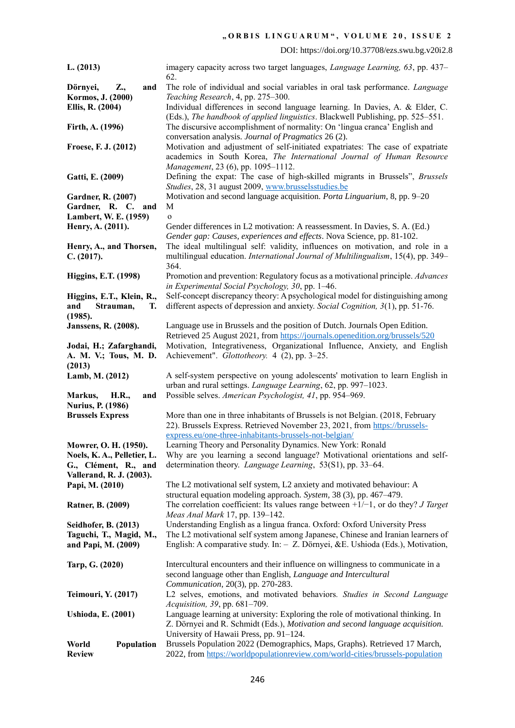DOI: https://doi.org/10.37708/ezs.swu.bg.v20i2.8

| L. (2013)                                           | imagery capacity across two target languages, <i>Language Learning</i> , 63, pp. 437–<br>62.                                                               |
|-----------------------------------------------------|------------------------------------------------------------------------------------------------------------------------------------------------------------|
| Dörnyei,<br>Z.,<br>and                              | The role of individual and social variables in oral task performance. Language                                                                             |
| Kormos, J. (2000)                                   | Teaching Research, 4, pp. 275-300.                                                                                                                         |
| Ellis, R. (2004)                                    | Individual differences in second language learning. In Davies, A. & Elder, C.                                                                              |
|                                                     | (Eds.), The handbook of applied linguistics. Blackwell Publishing, pp. 525–551.                                                                            |
| Firth, A. (1996)                                    | The discursive accomplishment of normality: On 'lingua cranca' English and                                                                                 |
|                                                     | conversation analysis. Journal of Pragmatics 26 (2).                                                                                                       |
| Froese, F. J. (2012)                                | Motivation and adjustment of self-initiated expatriates: The case of expatriate<br>academics in South Korea, The International Journal of Human Resource   |
|                                                     | Management, 23 (6), pp. 1095-1112.                                                                                                                         |
| Gatti, E. (2009)                                    | Defining the expat: The case of high-skilled migrants in Brussels", Brussels                                                                               |
|                                                     | Studies, 28, 31 august 2009, www.brusselsstudies.be                                                                                                        |
| <b>Gardner, R. (2007)</b>                           | Motivation and second language acquisition. Porta Linguarium, 8, pp. 9–20                                                                                  |
| Gardner, R. C. and                                  | M                                                                                                                                                          |
| Lambert, W. E. (1959)                               | $\mathbf{o}$                                                                                                                                               |
| Henry, A. (2011).                                   | Gender differences in L2 motivation: A reassessment. In Davies, S. A. (Ed.)                                                                                |
| Henry, A., and Thorsen,                             | Gender gap: Causes, experiences and effects. Nova Science, pp. 81-102.<br>The ideal multilingual self: validity, influences on motivation, and role in a   |
| C. (2017).                                          | multilingual education. International Journal of Multilingualism, 15(4), pp. 349–                                                                          |
|                                                     | 364.                                                                                                                                                       |
| <b>Higgins, E.T. (1998)</b>                         | Promotion and prevention: Regulatory focus as a motivational principle. Advances                                                                           |
|                                                     | in Experimental Social Psychology, 30, pp. 1–46.                                                                                                           |
| Higgins, E.T., Klein, R.,                           | Self-concept discrepancy theory: A psychological model for distinguishing among                                                                            |
| and<br>Strauman,<br>Т.                              | different aspects of depression and anxiety. Social Cognition, 3(1), pp. 51-76.                                                                            |
| (1985).                                             |                                                                                                                                                            |
| Janssens, R. (2008).                                | Language use in Brussels and the position of Dutch. Journals Open Edition.<br>Retrieved 25 August 2021, from https://journals.openedition.org/brussels/520 |
| Jodai, H.; Zafarghandi,                             | Motivation, Integrativeness, Organizational Influence, Anxiety, and English                                                                                |
| A. M. V.; Tous, M. D.                               | Achievement". Glottotheory. 4 (2), pp. 3-25.                                                                                                               |
| (2013)                                              |                                                                                                                                                            |
| Lamb, M. (2012)                                     | A self-system perspective on young adolescents' motivation to learn English in                                                                             |
|                                                     | urban and rural settings. Language Learning, 62, pp. 997-1023.                                                                                             |
| H.R.,<br>Markus,<br>and                             | Possible selves. American Psychologist, 41, pp. 954–969.                                                                                                   |
| <b>Nurius, P. (1986)</b><br><b>Brussels Express</b> | More than one in three inhabitants of Brussels is not Belgian. (2018, February                                                                             |
|                                                     | 22). Brussels Express. Retrieved November 23, 2021, from https://brussels-                                                                                 |
|                                                     | express.eu/one-three-inhabitants-brussels-not-belgian/                                                                                                     |
| Mowrer, O. H. (1950).                               | Learning Theory and Personality Dynamics. New York: Ronald                                                                                                 |
| Noels, K. A., Pelletier, L.                         | Why are you learning a second language? Motivational orientations and self-                                                                                |
| G., Clément, R., and                                | determination theory. Language Learning, 53(S1), pp. 33–64.                                                                                                |
| Vallerand, R. J. (2003).                            | The L2 motivational self system, L2 anxiety and motivated behaviour: A                                                                                     |
| Papi, M. (2010)                                     | structural equation modeling approach. System, 38 (3), pp. 467–479.                                                                                        |
| Ratner, B. (2009)                                   | The correlation coefficient: Its values range between $+1/-1$ , or do they? <i>J Target</i>                                                                |
|                                                     | Meas Anal Mark 17, pp. 139-142.                                                                                                                            |
| Seidhofer, B. (2013)                                | Understanding English as a lingua franca. Oxford: Oxford University Press                                                                                  |
| Taguchi, T., Magid, M.,                             | The L2 motivational self system among Japanese, Chinese and Iranian learners of                                                                            |
| and Papi, M. (2009)                                 | English: A comparative study. In: - Z. Dörnyei, &E. Ushioda (Eds.), Motivation,                                                                            |
| Tarp, G. (2020)                                     | Intercultural encounters and their influence on willingness to communicate in a                                                                            |
|                                                     | second language other than English, Language and Intercultural                                                                                             |
|                                                     | Communication, 20(3), pp. 270-283.                                                                                                                         |
| Teimouri, Y. (2017)                                 | L2 selves, emotions, and motivated behaviors. Studies in Second Language                                                                                   |
|                                                     | Acquisition, 39, pp. 681-709.                                                                                                                              |
| <b>Ushioda, E. (2001)</b>                           | Language learning at university: Exploring the role of motivational thinking. In                                                                           |
|                                                     | Z. Dörnyei and R. Schmidt (Eds.), Motivation and second language acquisition.                                                                              |
| World<br>Population                                 | University of Hawaii Press, pp. 91-124.<br>Brussels Population 2022 (Demographics, Maps, Graphs). Retrieved 17 March,                                      |
| <b>Review</b>                                       | 2022, from https://worldpopulationreview.com/world-cities/brussels-population                                                                              |